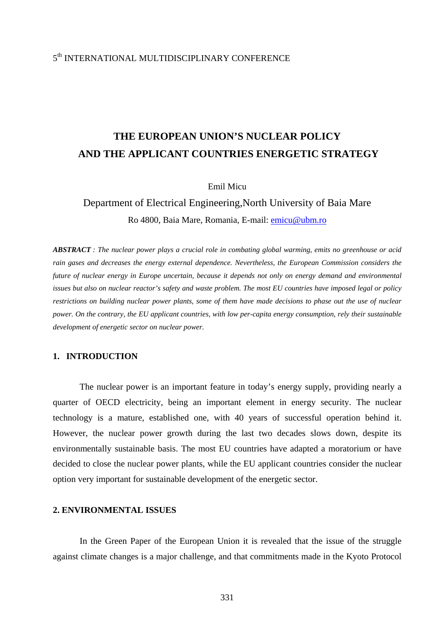### 5th INTERNATIONAL MULTIDISCIPLINARY CONFERENCE

# **THE EUROPEAN UNION'S NUCLEAR POLICY AND THE APPLICANT COUNTRIES ENERGETIC STRATEGY**

Emil Micu

# Department of Electrical Engineering,North University of Baia Mare Ro 4800, Baia Mare, Romania, E-mail: [emicu@ubm.ro](mailto:emicu@ubm.ro)

*ABSTRACT : The nuclear power plays a crucial role in combating global warming, emits no greenhouse or acid rain gases and decreases the energy external dependence. Nevertheless, the European Commission considers the future of nuclear energy in Europe uncertain, because it depends not only on energy demand and environmental issues but also on nuclear reactor's safety and waste problem. The most EU countries have imposed legal or policy restrictions on building nuclear power plants, some of them have made decisions to phase out the use of nuclear power. On the contrary, the EU applicant countries, with low per-capita energy consumption, rely their sustainable development of energetic sector on nuclear power.* 

### **1. INTRODUCTION**

The nuclear power is an important feature in today's energy supply, providing nearly a quarter of OECD electricity, being an important element in energy security. The nuclear technology is a mature, established one, with 40 years of successful operation behind it. However, the nuclear power growth during the last two decades slows down, despite its environmentally sustainable basis. The most EU countries have adapted a moratorium or have decided to close the nuclear power plants, while the EU applicant countries consider the nuclear option very important for sustainable development of the energetic sector.

#### **2. ENVIRONMENTAL ISSUES**

In the Green Paper of the European Union it is revealed that the issue of the struggle against climate changes is a major challenge, and that commitments made in the Kyoto Protocol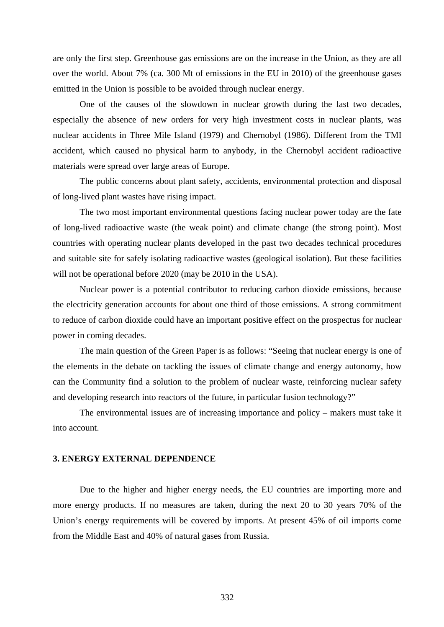are only the first step. Greenhouse gas emissions are on the increase in the Union, as they are all over the world. About 7% (ca. 300 Mt of emissions in the EU in 2010) of the greenhouse gases emitted in the Union is possible to be avoided through nuclear energy.

One of the causes of the slowdown in nuclear growth during the last two decades, especially the absence of new orders for very high investment costs in nuclear plants, was nuclear accidents in Three Mile Island (1979) and Chernobyl (1986). Different from the TMI accident, which caused no physical harm to anybody, in the Chernobyl accident radioactive materials were spread over large areas of Europe.

The public concerns about plant safety, accidents, environmental protection and disposal of long-lived plant wastes have rising impact.

The two most important environmental questions facing nuclear power today are the fate of long-lived radioactive waste (the weak point) and climate change (the strong point). Most countries with operating nuclear plants developed in the past two decades technical procedures and suitable site for safely isolating radioactive wastes (geological isolation). But these facilities will not be operational before 2020 (may be 2010 in the USA).

Nuclear power is a potential contributor to reducing carbon dioxide emissions, because the electricity generation accounts for about one third of those emissions. A strong commitment to reduce of carbon dioxide could have an important positive effect on the prospectus for nuclear power in coming decades.

The main question of the Green Paper is as follows: "Seeing that nuclear energy is one of the elements in the debate on tackling the issues of climate change and energy autonomy, how can the Community find a solution to the problem of nuclear waste, reinforcing nuclear safety and developing research into reactors of the future, in particular fusion technology?"

The environmental issues are of increasing importance and policy – makers must take it into account.

#### **3. ENERGY EXTERNAL DEPENDENCE**

Due to the higher and higher energy needs, the EU countries are importing more and more energy products. If no measures are taken, during the next 20 to 30 years 70% of the Union's energy requirements will be covered by imports. At present 45% of oil imports come from the Middle East and 40% of natural gases from Russia.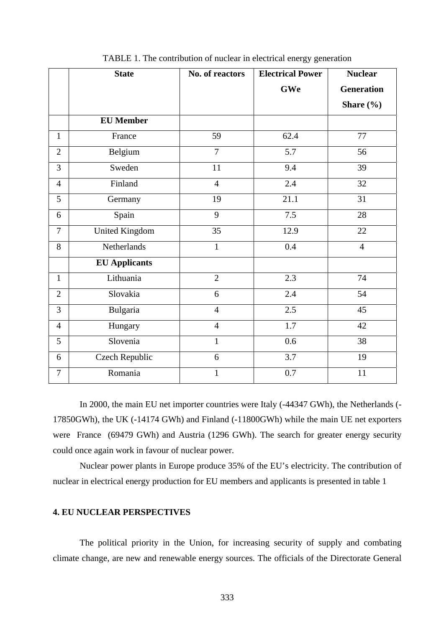|                | <b>State</b>          | No. of reactors | <b>Electrical Power</b> | <b>Nuclear</b>    |
|----------------|-----------------------|-----------------|-------------------------|-------------------|
|                |                       |                 | GWe                     | <b>Generation</b> |
|                |                       |                 |                         | Share (%)         |
|                | <b>EU Member</b>      |                 |                         |                   |
| $\mathbf{1}$   | France                | 59              | 62.4                    | 77                |
| $\overline{2}$ | Belgium               | $\overline{7}$  | 5.7                     | 56                |
| $\overline{3}$ | Sweden                | 11              | 9.4                     | 39                |
| $\overline{4}$ | Finland               | $\overline{4}$  | 2.4                     | 32                |
| 5              | Germany               | 19              | 21.1                    | 31                |
| 6              | Spain                 | 9               | 7.5                     | 28                |
| $\overline{7}$ | <b>United Kingdom</b> | 35              | 12.9                    | 22                |
| 8              | Netherlands           | $\mathbf{1}$    | 0.4                     | $\overline{4}$    |
|                | <b>EU Applicants</b>  |                 |                         |                   |
| $\mathbf{1}$   | Lithuania             | $\overline{2}$  | 2.3                     | 74                |
| $\overline{2}$ | Slovakia              | 6               | 2.4                     | 54                |
| 3              | Bulgaria              | $\overline{4}$  | 2.5                     | 45                |
| $\overline{4}$ | Hungary               | $\overline{4}$  | 1.7                     | 42                |
| 5              | Slovenia              | $\mathbf{1}$    | 0.6                     | 38                |
| 6              | <b>Czech Republic</b> | 6               | 3.7                     | 19                |
| $\overline{7}$ | Romania               | $\mathbf{1}$    | 0.7                     | 11                |

TABLE 1. The contribution of nuclear in electrical energy generation

In 2000, the main EU net importer countries were Italy (-44347 GWh), the Netherlands (- 17850GWh), the UK (-14174 GWh) and Finland (-11800GWh) while the main UE net exporters were France (69479 GWh) and Austria (1296 GWh). The search for greater energy security could once again work in favour of nuclear power.

Nuclear power plants in Europe produce 35% of the EU's electricity. The contribution of nuclear in electrical energy production for EU members and applicants is presented in table 1

#### **4. EU NUCLEAR PERSPECTIVES**

The political priority in the Union, for increasing security of supply and combating climate change, are new and renewable energy sources. The officials of the Directorate General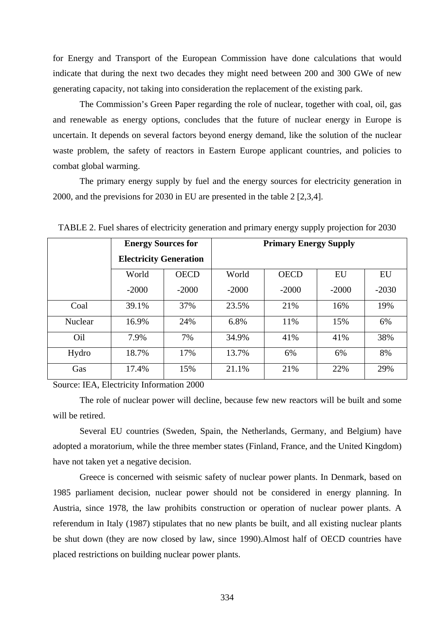for Energy and Transport of the European Commission have done calculations that would indicate that during the next two decades they might need between 200 and 300 GWe of new generating capacity, not taking into consideration the replacement of the existing park.

The Commission's Green Paper regarding the role of nuclear, together with coal, oil, gas and renewable as energy options, concludes that the future of nuclear energy in Europe is uncertain. It depends on several factors beyond energy demand, like the solution of the nuclear waste problem, the safety of reactors in Eastern Europe applicant countries, and policies to combat global warming.

The primary energy supply by fuel and the energy sources for electricity generation in 2000, and the previsions for 2030 in EU are presented in the table 2 [2,3,4].

|         | <b>Energy Sources for</b>     |             | <b>Primary Energy Supply</b> |             |         |         |  |
|---------|-------------------------------|-------------|------------------------------|-------------|---------|---------|--|
|         | <b>Electricity Generation</b> |             |                              |             |         |         |  |
|         | World                         | <b>OECD</b> | World                        | <b>OECD</b> | EU      | EU      |  |
|         | $-2000$                       | $-2000$     | $-2000$                      | $-2000$     | $-2000$ | $-2030$ |  |
| Coal    | 39.1%                         | 37%         | 23.5%                        | 21%         | 16%     | 19%     |  |
| Nuclear | 16.9%                         | 24%         | 6.8%                         | 11%         | 15%     | 6%      |  |
| Oil     | 7.9%                          | 7%          | 34.9%                        | 41%         | 41%     | 38%     |  |
| Hydro   | 18.7%                         | 17%         | 13.7%                        | 6%          | 6%      | 8%      |  |
| Gas     | 17.4%                         | 15%         | 21.1%                        | 21%         | 22%     | 29%     |  |

TABLE 2. Fuel shares of electricity generation and primary energy supply projection for 2030

Source: IEA, Electricity Information 2000

The role of nuclear power will decline, because few new reactors will be built and some will be retired.

Several EU countries (Sweden, Spain, the Netherlands, Germany, and Belgium) have adopted a moratorium, while the three member states (Finland, France, and the United Kingdom) have not taken yet a negative decision.

Greece is concerned with seismic safety of nuclear power plants. In Denmark, based on 1985 parliament decision, nuclear power should not be considered in energy planning. In Austria, since 1978, the law prohibits construction or operation of nuclear power plants. A referendum in Italy (1987) stipulates that no new plants be built, and all existing nuclear plants be shut down (they are now closed by law, since 1990).Almost half of OECD countries have placed restrictions on building nuclear power plants.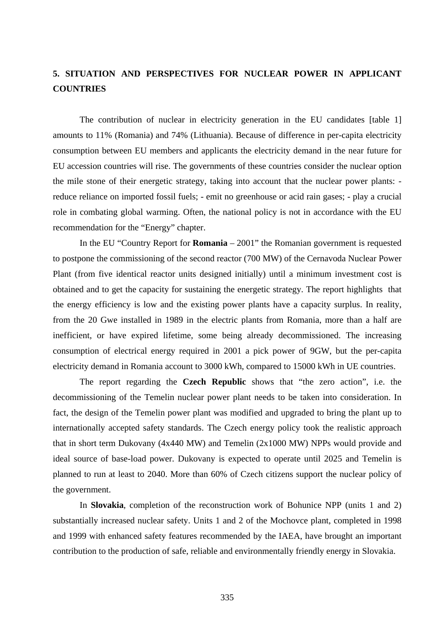## **5. SITUATION AND PERSPECTIVES FOR NUCLEAR POWER IN APPLICANT COUNTRIES**

The contribution of nuclear in electricity generation in the EU candidates [table 1] amounts to 11% (Romania) and 74% (Lithuania). Because of difference in per-capita electricity consumption between EU members and applicants the electricity demand in the near future for EU accession countries will rise. The governments of these countries consider the nuclear option the mile stone of their energetic strategy, taking into account that the nuclear power plants: reduce reliance on imported fossil fuels; - emit no greenhouse or acid rain gases; - play a crucial role in combating global warming. Often, the national policy is not in accordance with the EU recommendation for the "Energy" chapter.

In the EU "Country Report for **Romania** – 2001" the Romanian government is requested to postpone the commissioning of the second reactor (700 MW) of the Cernavoda Nuclear Power Plant (from five identical reactor units designed initially) until a minimum investment cost is obtained and to get the capacity for sustaining the energetic strategy. The report highlights that the energy efficiency is low and the existing power plants have a capacity surplus. In reality, from the 20 Gwe installed in 1989 in the electric plants from Romania, more than a half are inefficient, or have expired lifetime, some being already decommissioned. The increasing consumption of electrical energy required in 2001 a pick power of 9GW, but the per-capita electricity demand in Romania account to 3000 kWh, compared to 15000 kWh in UE countries.

The report regarding the **Czech Republic** shows that "the zero action", i.e. the decommissioning of the Temelin nuclear power plant needs to be taken into consideration. In fact, the design of the Temelin power plant was modified and upgraded to bring the plant up to internationally accepted safety standards. The Czech energy policy took the realistic approach that in short term Dukovany (4x440 MW) and Temelin (2x1000 MW) NPPs would provide and ideal source of base-load power. Dukovany is expected to operate until 2025 and Temelin is planned to run at least to 2040. More than 60% of Czech citizens support the nuclear policy of the government.

In **Slovakia**, completion of the reconstruction work of Bohunice NPP (units 1 and 2) substantially increased nuclear safety. Units 1 and 2 of the Mochovce plant, completed in 1998 and 1999 with enhanced safety features recommended by the IAEA, have brought an important contribution to the production of safe, reliable and environmentally friendly energy in Slovakia.